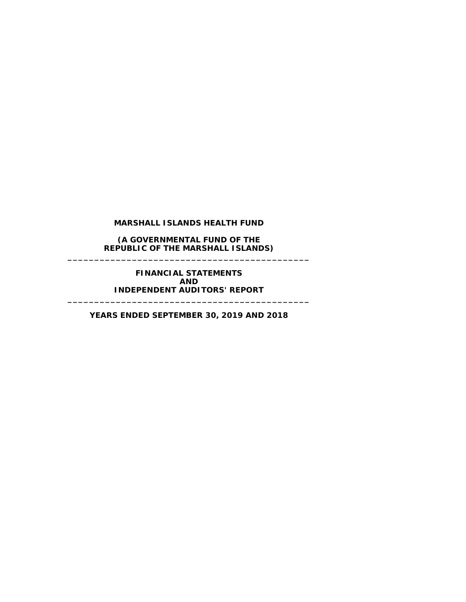**(A GOVERNMENTAL FUND OF THE REPUBLIC OF THE MARSHALL ISLANDS) \_\_\_\_\_\_\_\_\_\_\_\_\_\_\_\_\_\_\_\_\_\_\_\_\_\_\_\_\_\_\_\_\_\_\_\_\_\_\_\_\_\_\_\_\_**

> **FINANCIAL STATEMENTS AND INDEPENDENT AUDITORS' REPORT**

**\_\_\_\_\_\_\_\_\_\_\_\_\_\_\_\_\_\_\_\_\_\_\_\_\_\_\_\_\_\_\_\_\_\_\_\_\_\_\_\_\_\_\_\_\_**

**YEARS ENDED SEPTEMBER 30, 2019 AND 2018**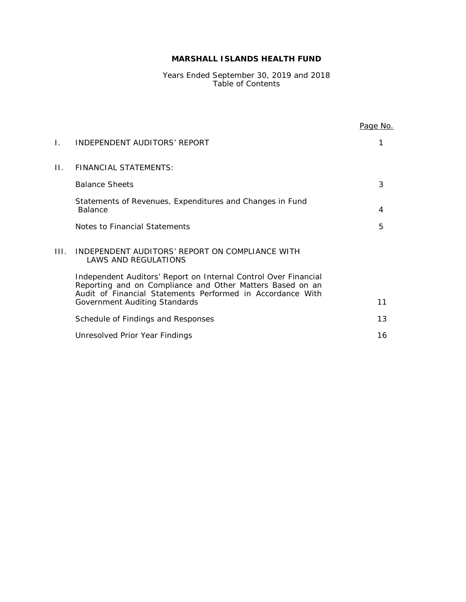Years Ended September 30, 2019 and 2018 Table of Contents

|      |                                                                                                                                                                                            | <u>Page No.</u> |
|------|--------------------------------------------------------------------------------------------------------------------------------------------------------------------------------------------|-----------------|
| L.   | INDEPENDENT AUDITORS' REPORT                                                                                                                                                               |                 |
| Н.   | <b>FINANCIAL STATEMENTS:</b>                                                                                                                                                               |                 |
|      | <b>Balance Sheets</b>                                                                                                                                                                      | 3               |
|      | Statements of Revenues, Expenditures and Changes in Fund<br><b>Balance</b>                                                                                                                 | 4               |
|      | Notes to Financial Statements                                                                                                                                                              | 5               |
| III. | INDEPENDENT AUDITORS' REPORT ON COMPLIANCE WITH<br>LAWS AND REGULATIONS                                                                                                                    |                 |
|      | Independent Auditors' Report on Internal Control Over Financial<br>Reporting and on Compliance and Other Matters Based on an<br>Audit of Financial Statements Performed in Accordance With |                 |
|      | Government Auditing Standards                                                                                                                                                              | 11              |
|      | Schedule of Findings and Responses                                                                                                                                                         | 13              |
|      | Unresolved Prior Year Findings                                                                                                                                                             | 16              |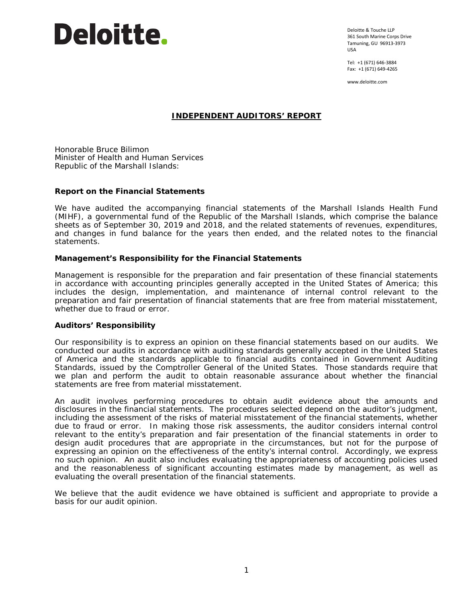

Deloitte & Touche LLP 361 South Marine Corps Drive Tamuning, GU 96913-3973 USA

Tel: +1 (671) 646-3884 Fax: +1 (671) 649-4265

www.deloitte.com

# **INDEPENDENT AUDITORS' REPORT**

Honorable Bruce Bilimon Minister of Health and Human Services Republic of the Marshall Islands:

# **Report on the Financial Statements**

We have audited the accompanying financial statements of the Marshall Islands Health Fund (MIHF), a governmental fund of the Republic of the Marshall Islands, which comprise the balance sheets as of September 30, 2019 and 2018, and the related statements of revenues, expenditures, and changes in fund balance for the years then ended, and the related notes to the financial statements.

#### *Management's Responsibility for the Financial Statements*

Management is responsible for the preparation and fair presentation of these financial statements in accordance with accounting principles generally accepted in the United States of America; this includes the design, implementation, and maintenance of internal control relevant to the preparation and fair presentation of financial statements that are free from material misstatement, whether due to fraud or error.

# *Auditors' Responsibility*

Our responsibility is to express an opinion on these financial statements based on our audits. We conducted our audits in accordance with auditing standards generally accepted in the United States of America and the standards applicable to financial audits contained in *Government Auditing Standards*, issued by the Comptroller General of the United States. Those standards require that we plan and perform the audit to obtain reasonable assurance about whether the financial statements are free from material misstatement.

An audit involves performing procedures to obtain audit evidence about the amounts and disclosures in the financial statements. The procedures selected depend on the auditor's judgment, including the assessment of the risks of material misstatement of the financial statements, whether due to fraud or error. In making those risk assessments, the auditor considers internal control relevant to the entity's preparation and fair presentation of the financial statements in order to design audit procedures that are appropriate in the circumstances, but not for the purpose of expressing an opinion on the effectiveness of the entity's internal control. Accordingly, we express no such opinion. An audit also includes evaluating the appropriateness of accounting policies used and the reasonableness of significant accounting estimates made by management, as well as evaluating the overall presentation of the financial statements.

We believe that the audit evidence we have obtained is sufficient and appropriate to provide a basis for our audit opinion.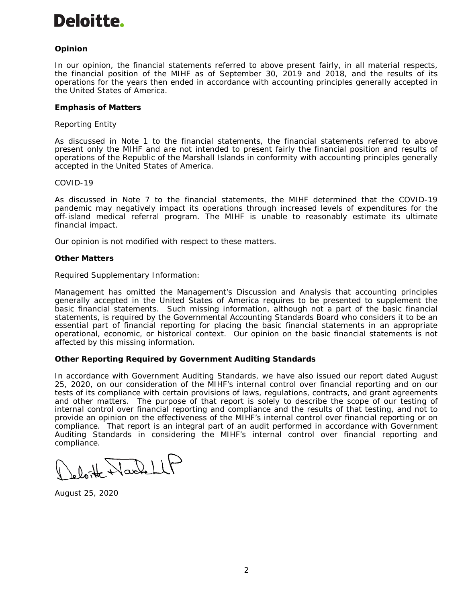# Deloitte.

# *Opinion*

In our opinion, the financial statements referred to above present fairly, in all material respects, the financial position of the MIHF as of September 30, 2019 and 2018, and the results of its operations for the years then ended in accordance with accounting principles generally accepted in the United States of America.

# *Emphasis of Matters*

# *Reporting Entity*

As discussed in Note 1 to the financial statements, the financial statements referred to above present only the MIHF and are not intended to present fairly the financial position and results of operations of the Republic of the Marshall Islands in conformity with accounting principles generally accepted in the United States of America.

# *COVID-19*

As discussed in Note 7 to the financial statements, the MIHF determined that the COVID-19 pandemic may negatively impact its operations through increased levels of expenditures for the off-island medical referral program. The MIHF is unable to reasonably estimate its ultimate financial impact.

Our opinion is not modified with respect to these matters.

# *Other Matters*

# *Required Supplementary Information:*

Management has omitted the Management's Discussion and Analysis that accounting principles generally accepted in the United States of America requires to be presented to supplement the basic financial statements. Such missing information, although not a part of the basic financial statements, is required by the Governmental Accounting Standards Board who considers it to be an essential part of financial reporting for placing the basic financial statements in an appropriate operational, economic, or historical context. Our opinion on the basic financial statements is not affected by this missing information.

# **Other Reporting Required by** *Government Auditing Standards*

In accordance with *Government Auditing Standards*, we have also issued our report dated August 25, 2020, on our consideration of the MIHF's internal control over financial reporting and on our tests of its compliance with certain provisions of laws, regulations, contracts, and grant agreements and other matters. The purpose of that report is solely to describe the scope of our testing of internal control over financial reporting and compliance and the results of that testing, and not to provide an opinion on the effectiveness of the MIHF's internal control over financial reporting or on compliance. That report is an integral part of an audit performed in accordance with *Government Auditing Standards* in considering the MIHF's internal control over financial reporting and compliance.

 $#$  Nackell

August 25, 2020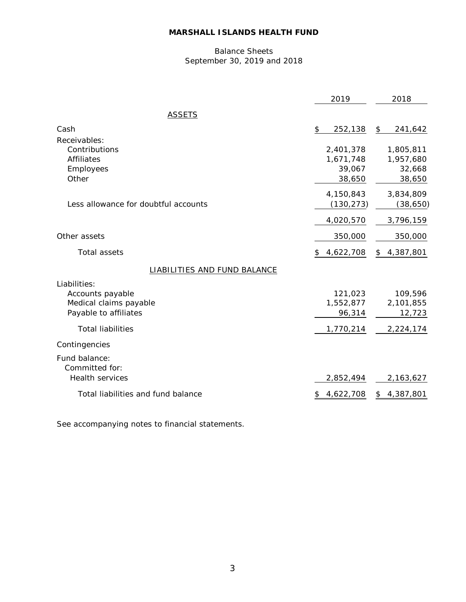# Balance Sheets September 30, 2019 and 2018

|                                                                                     | 2019                                       | 2018                                       |
|-------------------------------------------------------------------------------------|--------------------------------------------|--------------------------------------------|
| <b>ASSETS</b>                                                                       |                                            |                                            |
| Cash                                                                                | \$<br>252,138                              | \$<br>241,642                              |
| Receivables:<br>Contributions<br>Affiliates<br>Employees<br>Other                   | 2,401,378<br>1,671,748<br>39,067<br>38,650 | 1,805,811<br>1,957,680<br>32,668<br>38,650 |
| Less allowance for doubtful accounts                                                | 4,150,843<br>(130, 273)                    | 3,834,809<br>(38, 650)                     |
| Other assets                                                                        | 4,020,570<br>350,000                       | 3,796,159<br>350,000                       |
| <b>Total assets</b>                                                                 | 4,622,708<br>\$                            | 4,387,801<br>\$                            |
| LIABILITIES AND FUND BALANCE                                                        |                                            |                                            |
| Liabilities:<br>Accounts payable<br>Medical claims payable<br>Payable to affiliates | 121,023<br>1,552,877<br>96,314             | 109,596<br>2,101,855<br>12,723             |
| <b>Total liabilities</b>                                                            | 1,770,214                                  | 2,224,174                                  |
| Contingencies                                                                       |                                            |                                            |
| Fund balance:<br>Committed for:<br>Health services                                  | 2,852,494                                  | 2,163,627                                  |
| Total liabilities and fund balance                                                  | 4,622,708<br>\$                            | \$4,387,801                                |

See accompanying notes to financial statements.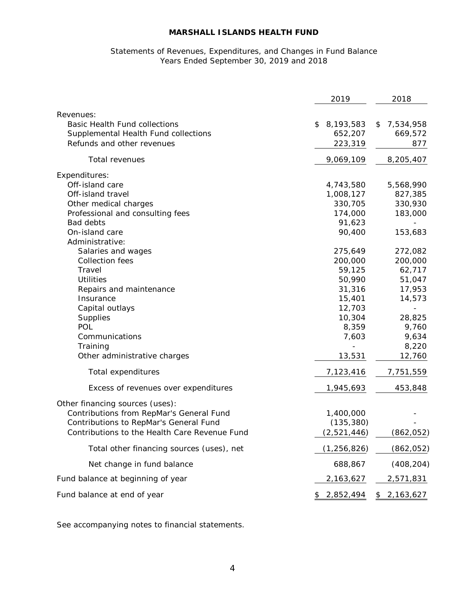# Statements of Revenues, Expenditures, and Changes in Fund Balance Years Ended September 30, 2019 and 2018

|                                                                                           | 2019                       | 2018                       |
|-------------------------------------------------------------------------------------------|----------------------------|----------------------------|
| Revenues:<br><b>Basic Health Fund collections</b><br>Supplemental Health Fund collections | 8,193,583<br>\$<br>652,207 | \$<br>7,534,958<br>669,572 |
| Refunds and other revenues                                                                | 223,319                    | 877                        |
| Total revenues                                                                            | 9,069,109                  | 8,205,407                  |
| Expenditures:                                                                             |                            |                            |
| Off-island care                                                                           | 4,743,580                  | 5,568,990                  |
| Off-island travel                                                                         | 1,008,127                  | 827,385                    |
| Other medical charges                                                                     | 330,705                    | 330,930                    |
| Professional and consulting fees                                                          | 174,000                    | 183,000                    |
| <b>Bad debts</b>                                                                          | 91,623                     |                            |
| On-island care                                                                            | 90,400                     | 153,683                    |
| Administrative:                                                                           |                            |                            |
| Salaries and wages<br><b>Collection fees</b>                                              | 275,649                    | 272,082                    |
| Travel                                                                                    | 200,000<br>59,125          | 200,000<br>62,717          |
| <b>Utilities</b>                                                                          | 50,990                     | 51,047                     |
| Repairs and maintenance                                                                   | 31,316                     | 17,953                     |
| Insurance                                                                                 | 15,401                     | 14,573                     |
| Capital outlays                                                                           | 12,703                     |                            |
| Supplies                                                                                  | 10,304                     | 28,825                     |
| <b>POL</b>                                                                                | 8,359                      | 9,760                      |
| Communications                                                                            | 7,603                      | 9,634                      |
| Training                                                                                  |                            | 8,220                      |
| Other administrative charges                                                              | 13,531                     | 12,760                     |
| Total expenditures                                                                        | 7,123,416                  | 7,751,559                  |
| Excess of revenues over expenditures                                                      | 1,945,693                  | 453,848                    |
| Other financing sources (uses):                                                           |                            |                            |
| Contributions from RepMar's General Fund                                                  | 1,400,000                  |                            |
| Contributions to RepMar's General Fund                                                    | (135, 380)                 |                            |
| Contributions to the Health Care Revenue Fund                                             | (2,521,446)                | (862, 052)                 |
| Total other financing sources (uses), net                                                 | (1,256,826)                | (862,052)                  |
| Net change in fund balance                                                                | 688,867                    | (408, 204)                 |
| Fund balance at beginning of year                                                         | 2,163,627                  | 2,571,831                  |
| Fund balance at end of year                                                               | \$2,852,494                | \$2,163,627                |

See accompanying notes to financial statements.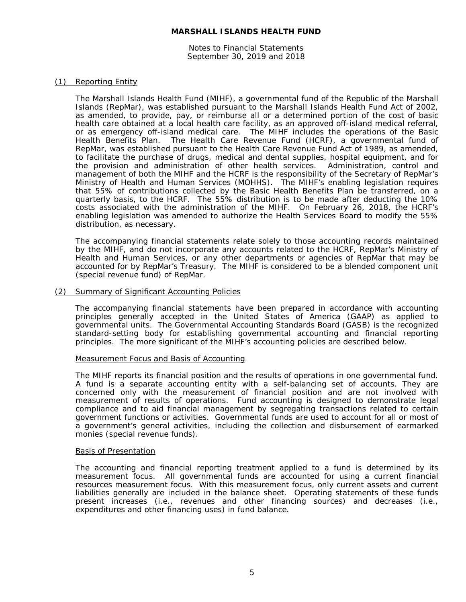Notes to Financial Statements September 30, 2019 and 2018

#### (1) Reporting Entity

The Marshall Islands Health Fund (MIHF), a governmental fund of the Republic of the Marshall Islands (RepMar), was established pursuant to the Marshall Islands Health Fund Act of 2002, as amended, to provide, pay, or reimburse all or a determined portion of the cost of basic health care obtained at a local health care facility, as an approved off-island medical referral, or as emergency off-island medical care. The MIHF includes the operations of the Basic Health Benefits Plan. The Health Care Revenue Fund (HCRF), a governmental fund of RepMar, was established pursuant to the Health Care Revenue Fund Act of 1989, as amended, to facilitate the purchase of drugs, medical and dental supplies, hospital equipment, and for the provision and administration of other health services. Administration, control and management of both the MIHF and the HCRF is the responsibility of the Secretary of RepMar's Ministry of Health and Human Services (MOHHS). The MIHF's enabling legislation requires that 55% of contributions collected by the Basic Health Benefits Plan be transferred, on a quarterly basis, to the HCRF. The 55% distribution is to be made after deducting the 10% costs associated with the administration of the MIHF. On February 26, 2018, the HCRF's enabling legislation was amended to authorize the Health Services Board to modify the 55% distribution, as necessary.

The accompanying financial statements relate solely to those accounting records maintained by the MIHF, and do not incorporate any accounts related to the HCRF, RepMar's Ministry of Health and Human Services, or any other departments or agencies of RepMar that may be accounted for by RepMar's Treasury. The MIHF is considered to be a blended component unit (special revenue fund) of RepMar.

#### (2) Summary of Significant Accounting Policies

The accompanying financial statements have been prepared in accordance with accounting principles generally accepted in the United States of America (GAAP) as applied to governmental units. The Governmental Accounting Standards Board (GASB) is the recognized standard-setting body for establishing governmental accounting and financial reporting principles. The more significant of the MIHF's accounting policies are described below.

#### Measurement Focus and Basis of Accounting

The MIHF reports its financial position and the results of operations in one governmental fund. A fund is a separate accounting entity with a self-balancing set of accounts. They are concerned only with the measurement of financial position and are not involved with measurement of results of operations. Fund accounting is designed to demonstrate legal compliance and to aid financial management by segregating transactions related to certain government functions or activities. Governmental funds are used to account for all or most of a government's general activities, including the collection and disbursement of earmarked monies (special revenue funds).

#### Basis of Presentation

The accounting and financial reporting treatment applied to a fund is determined by its measurement focus. All governmental funds are accounted for using a current financial resources measurement focus. With this measurement focus, only current assets and current liabilities generally are included in the balance sheet. Operating statements of these funds present increases (i.e., revenues and other financing sources) and decreases (i.e., expenditures and other financing uses) in fund balance.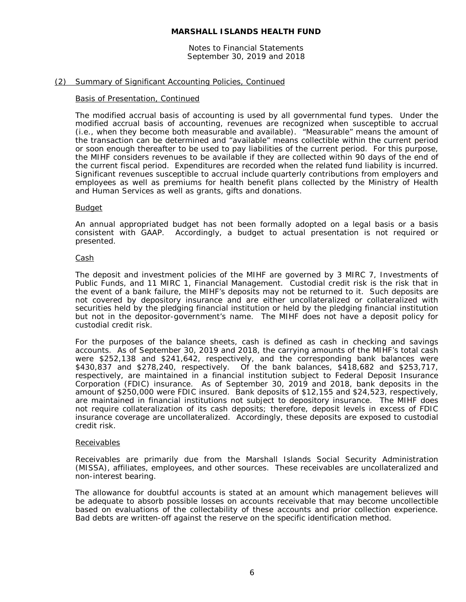Notes to Financial Statements September 30, 2019 and 2018

# (2) Summary of Significant Accounting Policies, Continued

### Basis of Presentation, Continued

The modified accrual basis of accounting is used by all governmental fund types. Under the modified accrual basis of accounting, revenues are recognized when susceptible to accrual (i.e., when they become both measurable and available). "Measurable" means the amount of the transaction can be determined and "available" means collectible within the current period or soon enough thereafter to be used to pay liabilities of the current period. For this purpose, the MIHF considers revenues to be available if they are collected within 90 days of the end of the current fiscal period. Expenditures are recorded when the related fund liability is incurred. Significant revenues susceptible to accrual include quarterly contributions from employers and employees as well as premiums for health benefit plans collected by the Ministry of Health and Human Services as well as grants, gifts and donations.

#### Budget

An annual appropriated budget has not been formally adopted on a legal basis or a basis consistent with GAAP. Accordingly, a budget to actual presentation is not required or presented.

#### Cash

The deposit and investment policies of the MIHF are governed by 3 MIRC 7, *Investments of Public Funds*, and 11 MIRC 1, *Financial Management*. Custodial credit risk is the risk that in the event of a bank failure, the MIHF's deposits may not be returned to it. Such deposits are not covered by depository insurance and are either uncollateralized or collateralized with securities held by the pledging financial institution or held by the pledging financial institution but not in the depositor-government's name. The MIHF does not have a deposit policy for custodial credit risk.

For the purposes of the balance sheets, cash is defined as cash in checking and savings accounts. As of September 30, 2019 and 2018, the carrying amounts of the MIHF's total cash were \$252,138 and \$241,642, respectively, and the corresponding bank balances were \$430,837 and \$278,240, respectively. Of the bank balances, \$418,682 and \$253,717, respectively, are maintained in a financial institution subject to Federal Deposit Insurance Corporation (FDIC) insurance. As of September 30, 2019 and 2018, bank deposits in the amount of \$250,000 were FDIC insured. Bank deposits of \$12,155 and \$24,523, respectively, are maintained in financial institutions not subject to depository insurance. The MIHF does not require collateralization of its cash deposits; therefore, deposit levels in excess of FDIC insurance coverage are uncollateralized. Accordingly, these deposits are exposed to custodial credit risk.

## Receivables

Receivables are primarily due from the Marshall Islands Social Security Administration (MISSA), affiliates, employees, and other sources. These receivables are uncollateralized and non-interest bearing.

The allowance for doubtful accounts is stated at an amount which management believes will be adequate to absorb possible losses on accounts receivable that may become uncollectible based on evaluations of the collectability of these accounts and prior collection experience. Bad debts are written-off against the reserve on the specific identification method.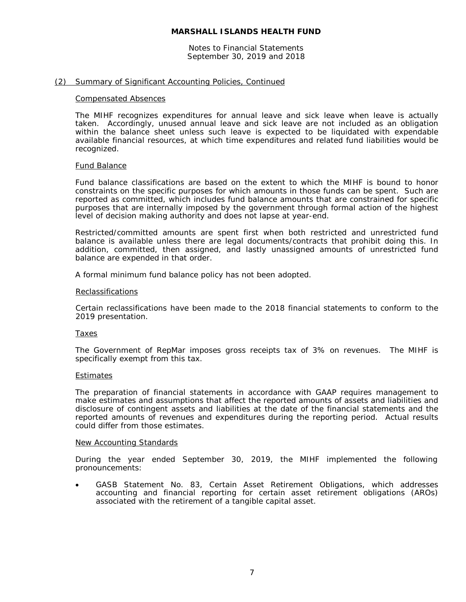Notes to Financial Statements September 30, 2019 and 2018

# (2) Summary of Significant Accounting Policies, Continued

### Compensated Absences

The MIHF recognizes expenditures for annual leave and sick leave when leave is actually taken. Accordingly, unused annual leave and sick leave are not included as an obligation within the balance sheet unless such leave is expected to be liquidated with expendable available financial resources, at which time expenditures and related fund liabilities would be recognized.

#### Fund Balance

Fund balance classifications are based on the extent to which the MIHF is bound to honor constraints on the specific purposes for which amounts in those funds can be spent. Such are reported as committed, which includes fund balance amounts that are constrained for specific purposes that are internally imposed by the government through formal action of the highest level of decision making authority and does not lapse at year-end.

Restricted/committed amounts are spent first when both restricted and unrestricted fund balance is available unless there are legal documents/contracts that prohibit doing this. In addition, committed, then assigned, and lastly unassigned amounts of unrestricted fund balance are expended in that order.

A formal minimum fund balance policy has not been adopted.

#### Reclassifications

Certain reclassifications have been made to the 2018 financial statements to conform to the 2019 presentation.

# **Taxes**

The Government of RepMar imposes gross receipts tax of 3% on revenues. The MIHF is specifically exempt from this tax.

#### **Estimates**

The preparation of financial statements in accordance with GAAP requires management to make estimates and assumptions that affect the reported amounts of assets and liabilities and disclosure of contingent assets and liabilities at the date of the financial statements and the reported amounts of revenues and expenditures during the reporting period. Actual results could differ from those estimates.

#### New Accounting Standards

During the year ended September 30, 2019, the MIHF implemented the following pronouncements:

• GASB Statement No. 83, *Certain Asset Retirement Obligations*, which addresses accounting and financial reporting for certain asset retirement obligations (AROs) associated with the retirement of a tangible capital asset.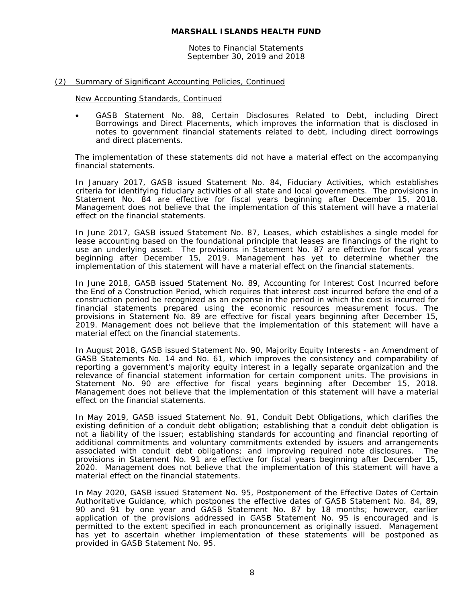Notes to Financial Statements September 30, 2019 and 2018

### (2) Summary of Significant Accounting Policies, Continued

#### New Accounting Standards, Continued

• GASB Statement No. 88, *Certain Disclosures Related to Debt, including Direct Borrowings and Direct Placements*, which improves the information that is disclosed in notes to government financial statements related to debt, including direct borrowings and direct placements.

The implementation of these statements did not have a material effect on the accompanying financial statements.

In January 2017, GASB issued Statement No. 84, *Fiduciary Activities*, which establishes criteria for identifying fiduciary activities of all state and local governments. The provisions in Statement No. 84 are effective for fiscal years beginning after December 15, 2018. Management does not believe that the implementation of this statement will have a material effect on the financial statements.

In June 2017, GASB issued Statement No. 87, *Leases*, which establishes a single model for lease accounting based on the foundational principle that leases are financings of the right to use an underlying asset. The provisions in Statement No. 87 are effective for fiscal years beginning after December 15, 2019. Management has yet to determine whether the implementation of this statement will have a material effect on the financial statements.

In June 2018, GASB issued Statement No. 89, *Accounting for Interest Cost Incurred before the End of a Construction Period*, which requires that interest cost incurred before the end of a construction period be recognized as an expense in the period in which the cost is incurred for financial statements prepared using the economic resources measurement focus. The provisions in Statement No. 89 are effective for fiscal years beginning after December 15, 2019. Management does not believe that the implementation of this statement will have a material effect on the financial statements.

In August 2018, GASB issued Statement No. 90, *Majority Equity Interests - an Amendment of GASB Statements No. 14 and No. 61*, which improves the consistency and comparability of reporting a government's majority equity interest in a legally separate organization and the relevance of financial statement information for certain component units. The provisions in Statement No. 90 are effective for fiscal years beginning after December 15, 2018. Management does not believe that the implementation of this statement will have a material effect on the financial statements.

In May 2019, GASB issued Statement No. 91, *Conduit Debt Obligations*, which clarifies the existing definition of a conduit debt obligation; establishing that a conduit debt obligation is not a liability of the issuer; establishing standards for accounting and financial reporting of additional commitments and voluntary commitments extended by issuers and arrangements associated with conduit debt obligations; and improving required note disclosures. The provisions in Statement No. 91 are effective for fiscal years beginning after December 15, 2020. Management does not believe that the implementation of this statement will have a material effect on the financial statements.

In May 2020, GASB issued Statement No. 95, *Postponement of the Effective Dates of Certain Authoritative Guidance*, which postpones the effective dates of GASB Statement No. 84, 89, 90 and 91 by one year and GASB Statement No. 87 by 18 months; however, earlier application of the provisions addressed in GASB Statement No. 95 is encouraged and is permitted to the extent specified in each pronouncement as originally issued. Management has yet to ascertain whether implementation of these statements will be postponed as provided in GASB Statement No. 95.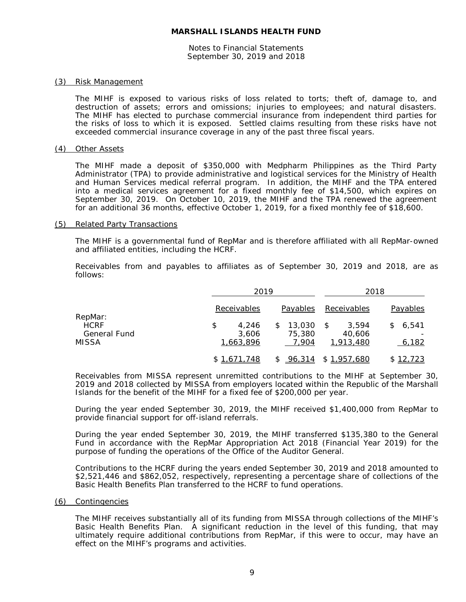#### Notes to Financial Statements September 30, 2019 and 2018

#### (3) Risk Management

The MIHF is exposed to various risks of loss related to torts; theft of, damage to, and destruction of assets; errors and omissions; injuries to employees; and natural disasters. The MIHF has elected to purchase commercial insurance from independent third parties for the risks of loss to which it is exposed. Settled claims resulting from these risks have not exceeded commercial insurance coverage in any of the past three fiscal years.

#### (4) Other Assets

The MIHF made a deposit of \$350,000 with Medpharm Philippines as the Third Party Administrator (TPA) to provide administrative and logistical services for the Ministry of Health and Human Services medical referral program. In addition, the MIHF and the TPA entered into a medical services agreement for a fixed monthly fee of \$14,500, which expires on September 30, 2019. On October 10, 2019, the MIHF and the TPA renewed the agreement for an additional 36 months, effective October 1, 2019, for a fixed monthly fee of \$18,600.

#### (5) Related Party Transactions

The MIHF is a governmental fund of RepMar and is therefore affiliated with all RepMar-owned and affiliated entities, including the HCRF.

Receivables from and payables to affiliates as of September 30, 2019 and 2018, are as follows:

|                                      |                                   | 2019                            |                                   | 2018                 |  |
|--------------------------------------|-----------------------------------|---------------------------------|-----------------------------------|----------------------|--|
| RepMar:                              | Receivables                       | Payables                        | Receivables                       | Payables             |  |
| <b>HCRF</b><br>General Fund<br>MISSA | 4.246<br>\$<br>3,606<br>1,663,896 | 13,030<br>S.<br>75,380<br>7,904 | 3.594<br>S<br>40,606<br>1,913,480 | 6.541<br>S.<br>6,182 |  |
|                                      | \$1,671,748                       | \$96,314                        | \$1,957,680                       | \$12,723             |  |

Receivables from MISSA represent unremitted contributions to the MIHF at September 30, 2019 and 2018 collected by MISSA from employers located within the Republic of the Marshall Islands for the benefit of the MIHF for a fixed fee of \$200,000 per year.

During the year ended September 30, 2019, the MIHF received \$1,400,000 from RepMar to provide financial support for off-island referrals.

During the year ended September 30, 2019, the MIHF transferred \$135,380 to the General Fund in accordance with the RepMar Appropriation Act 2018 (Financial Year 2019) for the purpose of funding the operations of the Office of the Auditor General.

Contributions to the HCRF during the years ended September 30, 2019 and 2018 amounted to \$2,521,446 and \$862,052, respectively, representing a percentage share of collections of the Basic Health Benefits Plan transferred to the HCRF to fund operations.

# (6) Contingencies

The MIHF receives substantially all of its funding from MISSA through collections of the MIHF's Basic Health Benefits Plan. A significant reduction in the level of this funding, that may ultimately require additional contributions from RepMar, if this were to occur, may have an effect on the MIHF's programs and activities.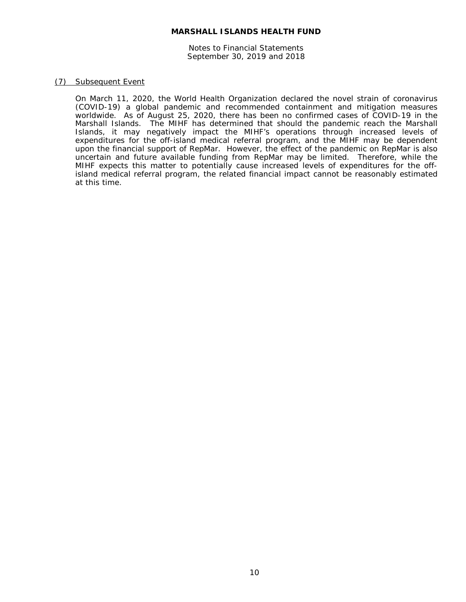Notes to Financial Statements September 30, 2019 and 2018

(7) Subsequent Event

On March 11, 2020, the World Health Organization declared the novel strain of coronavirus (COVID-19) a global pandemic and recommended containment and mitigation measures worldwide. As of August 25, 2020, there has been no confirmed cases of COVID-19 in the Marshall Islands. The MIHF has determined that should the pandemic reach the Marshall Islands, it may negatively impact the MIHF's operations through increased levels of expenditures for the off-island medical referral program, and the MIHF may be dependent upon the financial support of RepMar. However, the effect of the pandemic on RepMar is also uncertain and future available funding from RepMar may be limited. Therefore, while the MIHF expects this matter to potentially cause increased levels of expenditures for the offisland medical referral program, the related financial impact cannot be reasonably estimated at this time.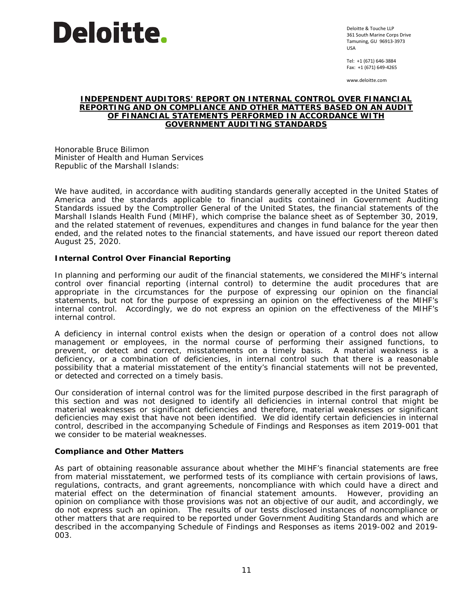

Deloitte & Touche LLP 361 South Marine Corps Drive Tamuning, GU 96913-3973 USA

Tel: +1 (671) 646-3884 Fax: +1 (671) 649-4265

www.deloitte.com

#### **INDEPENDENT AUDITORS' REPORT ON INTERNAL CONTROL OVER FINANCIAL REPORTING AND ON COMPLIANCE AND OTHER MATTERS BASED ON AN AUDIT OF FINANCIAL STATEMENTS PERFORMED IN ACCORDANCE WITH** *GOVERNMENT AUDITING STANDARDS*

Honorable Bruce Bilimon Minister of Health and Human Services Republic of the Marshall Islands:

We have audited, in accordance with auditing standards generally accepted in the United States of America and the standards applicable to financial audits contained in *Government Auditing Standards* issued by the Comptroller General of the United States, the financial statements of the Marshall Islands Health Fund (MIHF), which comprise the balance sheet as of September 30, 2019, and the related statement of revenues, expenditures and changes in fund balance for the year then ended, and the related notes to the financial statements, and have issued our report thereon dated August 25, 2020.

# **Internal Control Over Financial Reporting**

In planning and performing our audit of the financial statements, we considered the MIHF's internal control over financial reporting (internal control) to determine the audit procedures that are appropriate in the circumstances for the purpose of expressing our opinion on the financial statements, but not for the purpose of expressing an opinion on the effectiveness of the MIHF's internal control. Accordingly, we do not express an opinion on the effectiveness of the MIHF's internal control.

A *deficiency in internal control* exists when the design or operation of a control does not allow management or employees, in the normal course of performing their assigned functions, to prevent, or detect and correct, misstatements on a timely basis. A *material weakness* is a deficiency, or a combination of deficiencies, in internal control such that there is a reasonable possibility that a material misstatement of the entity's financial statements will not be prevented, or detected and corrected on a timely basis.

Our consideration of internal control was for the limited purpose described in the first paragraph of this section and was not designed to identify all deficiencies in internal control that might be material weaknesses or significant deficiencies and therefore, material weaknesses or significant deficiencies may exist that have not been identified. We did identify certain deficiencies in internal control, described in the accompanying Schedule of Findings and Responses as item 2019-001 that we consider to be material weaknesses.

# **Compliance and Other Matters**

As part of obtaining reasonable assurance about whether the MIHF's financial statements are free from material misstatement, we performed tests of its compliance with certain provisions of laws, regulations, contracts, and grant agreements, noncompliance with which could have a direct and material effect on the determination of financial statement amounts. However, providing an opinion on compliance with those provisions was not an objective of our audit, and accordingly, we do not express such an opinion. The results of our tests disclosed instances of noncompliance or other matters that are required to be reported under *Government Auditing Standards* and which are described in the accompanying Schedule of Findings and Responses as items 2019-002 and 2019- 003.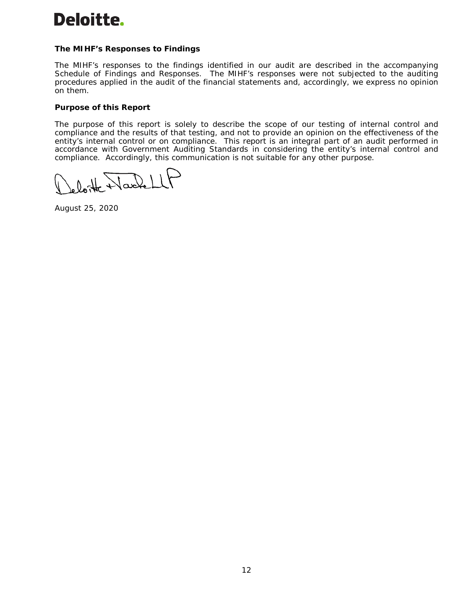# Deloitte.

# **The MIHF's Responses to Findings**

The MIHF's responses to the findings identified in our audit are described in the accompanying Schedule of Findings and Responses. The MIHF's responses were not subjected to the auditing procedures applied in the audit of the financial statements and, accordingly, we express no opinion on them.

# **Purpose of this Report**

The purpose of this report is solely to describe the scope of our testing of internal control and compliance and the results of that testing, and not to provide an opinion on the effectiveness of the entity's internal control or on compliance. This report is an integral part of an audit performed in accordance with *Government Auditing Standards* in considering the entity's internal control and compliance. Accordingly, this communication is not suitable for any other purpose.

lotte Wackell

August 25, 2020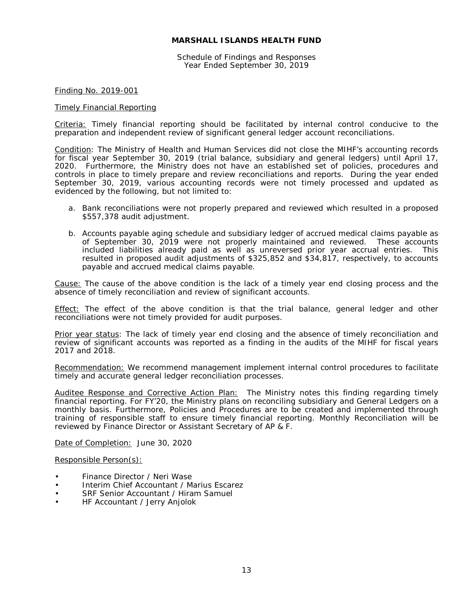Schedule of Findings and Responses Year Ended September 30, 2019

#### Finding No. 2019-001

#### Timely Financial Reporting

Criteria: Timely financial reporting should be facilitated by internal control conducive to the preparation and independent review of significant general ledger account reconciliations.

Condition: The Ministry of Health and Human Services did not close the MIHF's accounting records for fiscal year September 30, 2019 (trial balance, subsidiary and general ledgers) until April 17, 2020. Furthermore, the Ministry does not have an established set of policies, procedures and controls in place to timely prepare and review reconciliations and reports. During the year ended September 30, 2019, various accounting records were not timely processed and updated as evidenced by the following, but not limited to:

- a. Bank reconciliations were not properly prepared and reviewed which resulted in a proposed \$557,378 audit adjustment.
- b. Accounts payable aging schedule and subsidiary ledger of accrued medical claims payable as of September 30, 2019 were not properly maintained and reviewed. included liabilities already paid as well as unreversed prior year accrual entries. This resulted in proposed audit adjustments of \$325,852 and \$34,817, respectively, to accounts payable and accrued medical claims payable.

Cause: The cause of the above condition is the lack of a timely year end closing process and the absence of timely reconciliation and review of significant accounts.

**Effect:** The effect of the above condition is that the trial balance, general ledger and other reconciliations were not timely provided for audit purposes.

Prior year status: The lack of timely year end closing and the absence of timely reconciliation and review of significant accounts was reported as a finding in the audits of the MIHF for fiscal years 2017 and 2018.

Recommendation: We recommend management implement internal control procedures to facilitate timely and accurate general ledger reconciliation processes.

Auditee Response and Corrective Action Plan: The Ministry notes this finding regarding timely financial reporting. For FY'20, the Ministry plans on reconciling subsidiary and General Ledgers on a monthly basis. Furthermore, Policies and Procedures are to be created and implemented through training of responsible staff to ensure timely financial reporting. Monthly Reconciliation will be reviewed by Finance Director or Assistant Secretary of AP & F.

Date of Completion: June 30, 2020

Responsible Person(s):

- Finance Director / Neri Wase
- Interim Chief Accountant / Marius Escarez
- SRF Senior Accountant / Hiram Samuel
- HF Accountant / Jerry Anjolok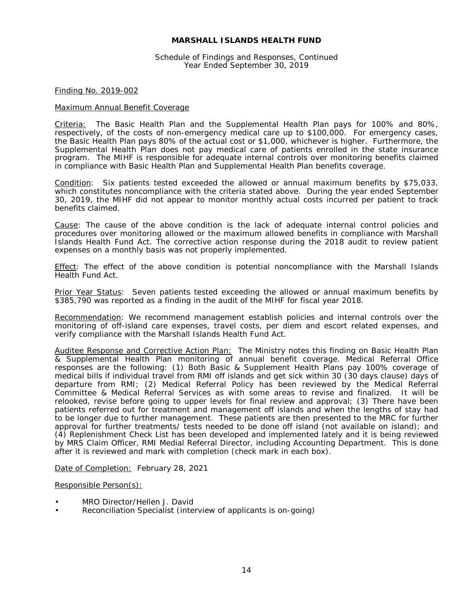Schedule of Findings and Responses, Continued Year Ended September 30, 2019

#### Finding No. 2019-002

#### Maximum Annual Benefit Coverage

Criteria: The Basic Health Plan and the Supplemental Health Plan pays for 100% and 80%, respectively, of the costs of non-emergency medical care up to \$100,000. For emergency cases, the Basic Health Plan pays 80% of the actual cost or \$1,000, whichever is higher. Furthermore, the Supplemental Health Plan does not pay medical care of patients enrolled in the state insurance program. The MIHF is responsible for adequate internal controls over monitoring benefits claimed in compliance with Basic Health Plan and Supplemental Health Plan benefits coverage.

Condition: Six patients tested exceeded the allowed or annual maximum benefits by \$75,033, which constitutes noncompliance with the criteria stated above. During the year ended September 30, 2019, the MIHF did not appear to monitor monthly actual costs incurred per patient to track benefits claimed.

Cause: The cause of the above condition is the lack of adequate internal control policies and procedures over monitoring allowed or the maximum allowed benefits in compliance with Marshall Islands Health Fund Act. The corrective action response during the 2018 audit to review patient expenses on a monthly basis was not properly implemented.

Effect: The effect of the above condition is potential noncompliance with the Marshall Islands Health Fund Act.

Prior Year Status: Seven patients tested exceeding the allowed or annual maximum benefits by \$385,790 was reported as a finding in the audit of the MIHF for fiscal year 2018.

Recommendation: We recommend management establish policies and internal controls over the monitoring of off-island care expenses, travel costs, per diem and escort related expenses, and verify compliance with the Marshall Islands Health Fund Act.

Auditee Response and Corrective Action Plan: The Ministry notes this finding on Basic Health Plan & Supplemental Health Plan monitoring of annual benefit coverage. Medical Referral Office responses are the following: (1) Both Basic & Supplement Health Plans pay 100% coverage of medical bills if individual travel from RMI off islands and get sick within 30 (30 days clause) days of departure from RMI; (2) Medical Referral Policy has been reviewed by the Medical Referral Committee & Medical Referral Services as with some areas to revise and finalized. It will be relooked, revise before going to upper levels for final review and approval; (3) There have been patients referred out for treatment and management off islands and when the lengths of stay had to be longer due to further management. These patients are then presented to the MRC for further approval for further treatments/ tests needed to be done off island (not available on island); and (4) Replenishment Check List has been developed and implemented lately and it is being reviewed by MRS Claim Officer, RMI Medial Referral Director, including Accounting Department. This is done after it is reviewed and mark with completion (check mark in each box).

Date of Completion: February 28, 2021

Responsible Person(s):

- MRO Director/Hellen J. David
- Reconciliation Specialist (interview of applicants is on-going)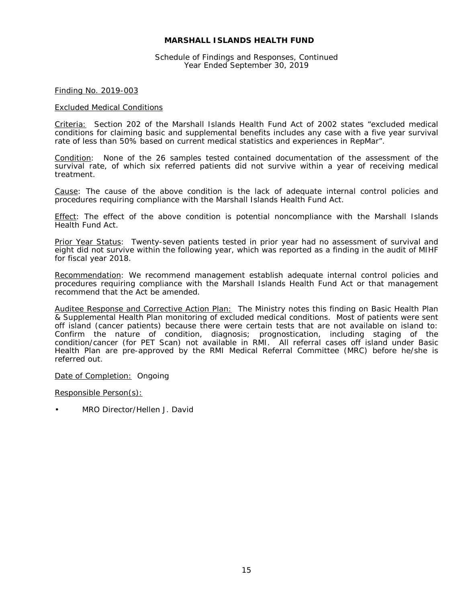Schedule of Findings and Responses, Continued Year Ended September 30, 2019

#### Finding No. 2019-003

#### Excluded Medical Conditions

Criteria: Section 202 of the Marshall Islands Health Fund Act of 2002 states "excluded medical conditions for claiming basic and supplemental benefits includes any case with a five year survival rate of less than 50% based on current medical statistics and experiences in RepMar".

Condition: None of the 26 samples tested contained documentation of the assessment of the survival rate, of which six referred patients did not survive within a year of receiving medical treatment.

Cause: The cause of the above condition is the lack of adequate internal control policies and procedures requiring compliance with the Marshall Islands Health Fund Act.

Effect: The effect of the above condition is potential noncompliance with the Marshall Islands Health Fund Act.

Prior Year Status: Twenty-seven patients tested in prior year had no assessment of survival and eight did not survive within the following year, which was reported as a finding in the audit of MIHF for fiscal year 2018.

Recommendation: We recommend management establish adequate internal control policies and procedures requiring compliance with the Marshall Islands Health Fund Act or that management recommend that the Act be amended.

Auditee Response and Corrective Action Plan: The Ministry notes this finding on Basic Health Plan & Supplemental Health Plan monitoring of excluded medical conditions. Most of patients were sent off island (cancer patients) because there were certain tests that are not available on island to: Confirm the nature of condition, diagnosis; prognostication, including staging of the condition/cancer (for PET Scan) not available in RMI. All referral cases off island under Basic Health Plan are pre-approved by the RMI Medical Referral Committee (MRC) before he/she is referred out.

# Date of Completion: Ongoing

Responsible Person(s):

• MRO Director/Hellen J. David